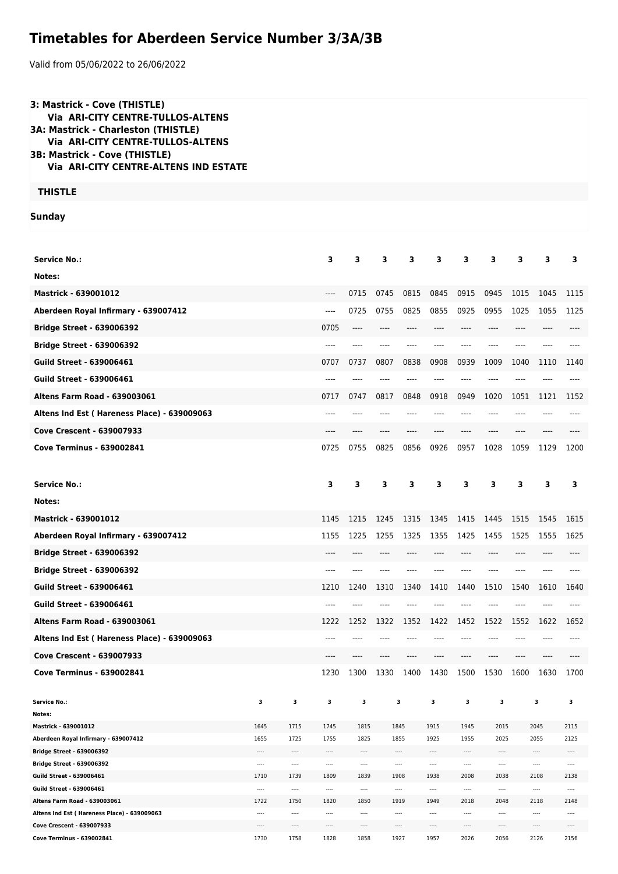## **Timetables for Aberdeen Service Number 3/3A/3B**

Valid from 05/06/2022 to 26/06/2022

| 3: Mastrick - Cove (THISTLE)<br><b>Via ARI-CITY CENTRE-TULLOS-ALTENS</b><br>3A: Mastrick - Charleston (THISTLE)<br>Via ARI-CITY CENTRE-TULLOS-ALTENS<br>3B: Mastrick - Cove (THISTLE)<br>Via ARI-CITY CENTRE-ALTENS IND ESTATE |              |                  |                  |              |      |                  |                  |                  |                  |      |                  |                  |
|--------------------------------------------------------------------------------------------------------------------------------------------------------------------------------------------------------------------------------|--------------|------------------|------------------|--------------|------|------------------|------------------|------------------|------------------|------|------------------|------------------|
| <b>THISTLE</b>                                                                                                                                                                                                                 |              |                  |                  |              |      |                  |                  |                  |                  |      |                  |                  |
| <b>Sunday</b>                                                                                                                                                                                                                  |              |                  |                  |              |      |                  |                  |                  |                  |      |                  |                  |
| <b>Service No.:</b>                                                                                                                                                                                                            |              |                  | 3                | 3            | 3    | 3                | 3                | 3                | 3                | 3    | 3                | 3                |
| Notes:                                                                                                                                                                                                                         |              |                  |                  |              |      |                  |                  |                  |                  |      |                  |                  |
| <b>Mastrick - 639001012</b>                                                                                                                                                                                                    |              |                  | $---$            | 0715         | 0745 | 0815             | 0845             | 0915             | 0945             | 1015 | 1045             | 1115             |
| Aberdeen Royal Infirmary - 639007412                                                                                                                                                                                           |              |                  | ----             | 0725         | 0755 | 0825             | 0855             | 0925             | 0955             | 1025 | 1055             | 1125             |
| <b>Bridge Street - 639006392</b>                                                                                                                                                                                               |              |                  | 0705             | ----         |      |                  |                  |                  | ----             |      |                  |                  |
| <b>Bridge Street - 639006392</b>                                                                                                                                                                                               |              |                  | $---$            | ----         | ---- |                  |                  | ----             | ----             | ---- |                  |                  |
| <b>Guild Street - 639006461</b>                                                                                                                                                                                                |              |                  | 0707             | 0737         | 0807 | 0838             | 0908             | 0939             | 1009             | 1040 | 1110             | 1140             |
| <b>Guild Street - 639006461</b>                                                                                                                                                                                                |              |                  | ----             |              |      |                  |                  | ----             | ----             |      |                  |                  |
| <b>Altens Farm Road - 639003061</b>                                                                                                                                                                                            |              |                  | 0717             | 0747         | 0817 | 0848             | 0918             | 0949             | 1020             | 1051 | 1121             | 1152             |
| Altens Ind Est (Hareness Place) - 639009063                                                                                                                                                                                    |              |                  | ----             |              |      |                  |                  |                  | ----             | ---- |                  |                  |
| <b>Cove Crescent - 639007933</b>                                                                                                                                                                                               |              |                  | ----             |              |      |                  |                  |                  | ----             | ---- |                  |                  |
| <b>Cove Terminus - 639002841</b>                                                                                                                                                                                               |              |                  | 0725             | 0755         | 0825 | 0856             | 0926             | 0957             | 1028             | 1059 | 1129             | 1200             |
|                                                                                                                                                                                                                                |              |                  |                  |              |      |                  |                  |                  |                  |      |                  |                  |
| <b>Service No.:</b>                                                                                                                                                                                                            |              |                  | 3                | 3            | 3    | 3                | 3                | 3                | 3                | 3    | 3                | 3                |
| Notes:                                                                                                                                                                                                                         |              |                  |                  |              |      |                  |                  |                  |                  |      |                  |                  |
| <b>Mastrick - 639001012</b>                                                                                                                                                                                                    |              |                  | 1145             | 1215         | 1245 | 1315             | 1345             | 1415             | 1445             | 1515 | 1545             | 1615             |
| Aberdeen Royal Infirmary - 639007412                                                                                                                                                                                           |              |                  | 1155             | 1225         | 1255 | 1325             | 1355             | 1425             | 1455             | 1525 | 1555             | 1625             |
| <b>Bridge Street - 639006392</b>                                                                                                                                                                                               |              |                  | ----             |              |      |                  |                  |                  |                  |      |                  |                  |
| <b>Bridge Street - 639006392</b>                                                                                                                                                                                               |              |                  | ----             |              |      |                  |                  |                  |                  |      |                  |                  |
| <b>Guild Street - 639006461</b>                                                                                                                                                                                                |              |                  | 1210             | 1240         | 1310 | 1340             | 1410             | 1440             | 1510             | 1540 | 1610             | 1640             |
| <b>Guild Street - 639006461</b>                                                                                                                                                                                                |              |                  | ----             | ----         |      |                  |                  | ----             |                  | ---- |                  |                  |
| Altens Farm Road - 639003061                                                                                                                                                                                                   |              |                  | 1222             | 1252         | 1322 | 1352             | 1422             | 1452             | 1522             | 1552 | 1622             | 1652             |
| Altens Ind Est (Hareness Place) - 639009063                                                                                                                                                                                    |              |                  | ----             |              |      |                  |                  | ----             | ----             |      |                  |                  |
| Cove Crescent - 639007933                                                                                                                                                                                                      |              |                  | ----             |              |      |                  |                  |                  |                  |      |                  |                  |
| <b>Cove Terminus - 639002841</b>                                                                                                                                                                                               |              |                  | 1230             | 1300         | 1330 | 1400             | 1430             | 1500             | 1530             | 1600 | 1630             | 1700             |
| <b>Service No.:</b>                                                                                                                                                                                                            | 3            | 3                | з                | з            |      | 3                | 3                | з                | 3                |      | з                | з                |
| Notes:                                                                                                                                                                                                                         |              |                  |                  |              |      |                  |                  |                  |                  |      |                  |                  |
| Mastrick - 639001012<br>Aberdeen Royal Infirmary - 639007412                                                                                                                                                                   | 1645<br>1655 | 1715<br>1725     | 1745<br>1755     | 1815<br>1825 |      | 1845<br>1855     | 1915<br>1925     | 1945<br>1955     | 2015<br>2025     |      | 2045<br>2055     | 2115<br>2125     |
| Bridge Street - 639006392                                                                                                                                                                                                      | ----         | $\cdots$         | $---$            | ----         |      | $\cdots$         | $---$            | ----             | $\cdots$         |      | $---$            | $- - - -$        |
| Bridge Street - 639006392                                                                                                                                                                                                      | ----         | $\cdots$         | $\cdots$         | $\cdots$     |      | $\cdots$         | $\cdots$         | $\cdots$         | $\cdots$         |      | $\cdots$         | ----             |
| Guild Street - 639006461                                                                                                                                                                                                       | 1710         | 1739             | 1809             | 1839         |      | 1908             | 1938             | 2008             | 2038             |      | 2108             | 2138             |
| Guild Street - 639006461<br>Altens Farm Road - 639003061                                                                                                                                                                       | ----<br>1722 | $\cdots$<br>1750 | $\cdots$<br>1820 | <br>1850     |      | $\cdots$<br>1919 | $\cdots$<br>1949 | $\cdots$<br>2018 | $\cdots$<br>2048 |      | $\cdots$<br>2118 | $\cdots$<br>2148 |
| Altens Ind Est (Hareness Place) - 639009063                                                                                                                                                                                    | ----         | $\cdots$         | ----             | $\cdots$     |      |                  | $\cdots$         | ----             | $\cdots$         |      | ----             | 1.11             |
| Cove Crescent - 639007933<br>Cove Terminus - 639002841                                                                                                                                                                         | ----<br>1730 | $\cdots$<br>1758 | $---$<br>1828    | ----<br>1858 |      | $\cdots$<br>1927 | $---$<br>1957    | ----<br>2026     | $---$<br>2056    |      | $---$<br>2126    | $\cdots$<br>2156 |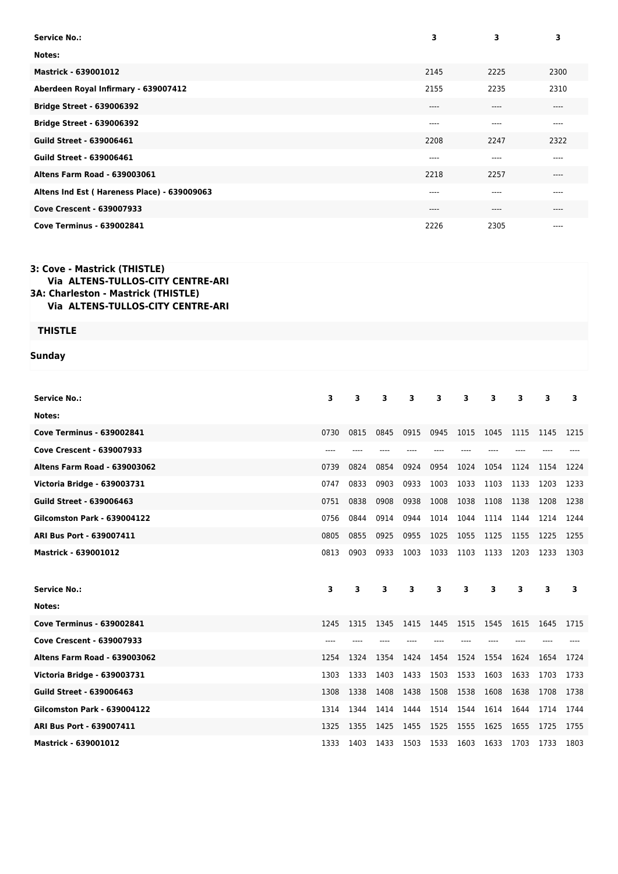| <b>Service No.:</b>                         | 3       | з       | 3      |
|---------------------------------------------|---------|---------|--------|
| Notes:                                      |         |         |        |
| <b>Mastrick - 639001012</b>                 | 2145    | 2225    | 2300   |
| Aberdeen Royal Infirmary - 639007412        | 2155    | 2235    | 2310   |
| <b>Bridge Street - 639006392</b>            | $---$   | ----    | $----$ |
| <b>Bridge Street - 639006392</b>            | $---$   | ----    | ----   |
| <b>Guild Street - 639006461</b>             | 2208    | 2247    | 2322   |
| Guild Street - 639006461                    | $---$   | ----    | $----$ |
| <b>Altens Farm Road - 639003061</b>         | 2218    | 2257    | $----$ |
| Altens Ind Est (Hareness Place) - 639009063 | $--- -$ | ----    | ----   |
| <b>Cove Crescent - 639007933</b>            | $---$   | $-----$ | $----$ |
| <b>Cove Terminus - 639002841</b>            | 2226    | 2305    | $----$ |

## **3: Cove - Mastrick (THISTLE) Via ALTENS-TULLOS-CITY CENTRE-ARI 3A: Charleston - Mastrick (THISTLE) Via ALTENS-TULLOS-CITY CENTRE-ARI**

## **THISTLE**

**Sunday**

| Service No.:                        | 3    | 3    | 3    | 3    | 3    | 3    | 3    | 3    | 3    | 3    |
|-------------------------------------|------|------|------|------|------|------|------|------|------|------|
| Notes:                              |      |      |      |      |      |      |      |      |      |      |
| <b>Cove Terminus - 639002841</b>    | 0730 | 0815 | 0845 | 0915 | 0945 | 1015 | 1045 | 1115 | 1145 | 1215 |
| <b>Cove Crescent - 639007933</b>    | ---- |      |      |      |      |      |      |      |      |      |
| <b>Altens Farm Road - 639003062</b> | 0739 | 0824 | 0854 | 0924 | 0954 | 1024 | 1054 | 1124 | 1154 | 1224 |
| Victoria Bridge - 639003731         | 0747 | 0833 | 0903 | 0933 | 1003 | 1033 | 1103 | 1133 | 1203 | 1233 |
| <b>Guild Street - 639006463</b>     | 0751 | 0838 | 0908 | 0938 | 1008 | 1038 | 1108 | 1138 | 1208 | 1238 |
| <b>Gilcomston Park - 639004122</b>  | 0756 | 0844 | 0914 | 0944 | 1014 | 1044 | 1114 | 1144 | 1214 | 1244 |
| ARI Bus Port - 639007411            | 0805 | 0855 | 0925 | 0955 | 1025 | 1055 | 1125 | 1155 | 1225 | 1255 |
| <b>Mastrick - 639001012</b>         | 0813 | 0903 | 0933 | 1003 | 1033 | 1103 | 1133 | 1203 | 1233 | 1303 |
|                                     |      |      |      |      |      |      |      |      |      |      |
|                                     |      |      |      |      |      |      |      |      |      |      |
| <b>Service No.:</b>                 | 3    | 3    | 3    | 3    | 3    | 3    | 3    | 3    | 3    | 3    |
| Notes:                              |      |      |      |      |      |      |      |      |      |      |
| <b>Cove Terminus - 639002841</b>    | 1245 | 1315 | 1345 | 1415 | 1445 | 1515 | 1545 | 1615 | 1645 | 1715 |
| <b>Cove Crescent - 639007933</b>    | ---- |      |      |      |      |      |      |      |      |      |
| <b>Altens Farm Road - 639003062</b> | 1254 | 1324 | 1354 | 1424 | 1454 | 1524 | 1554 | 1624 | 1654 | 1724 |
| Victoria Bridge - 639003731         | 1303 | 1333 | 1403 | 1433 | 1503 | 1533 | 1603 | 1633 | 1703 | 1733 |
| <b>Guild Street - 639006463</b>     | 1308 | 1338 | 1408 | 1438 | 1508 | 1538 | 1608 | 1638 | 1708 | 1738 |
| <b>Gilcomston Park - 639004122</b>  | 1314 | 1344 | 1414 | 1444 | 1514 | 1544 | 1614 | 1644 | 1714 | 1744 |
| ARI Bus Port - 639007411            | 1325 | 1355 | 1425 | 1455 | 1525 | 1555 | 1625 | 1655 | 1725 | 1755 |